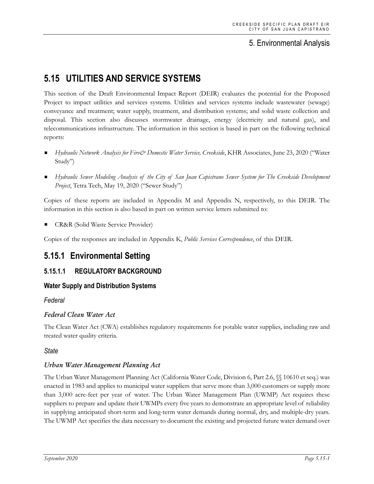## 5. Environmental Analysis

# **5.15 UTILITIES AND SERVICE SYSTEMS**

This section of the Draft Environmental Impact Report (DEIR) evaluates the potential for the Proposed Project to impact utilities and services systems. Utilities and services systems include wastewater (sewage) conveyance and treatment; water supply, treatment, and distribution systems; and solid waste collection and disposal. This section also discusses stormwater drainage, energy (electricity and natural gas), and telecommunications infrastructure. The information in this section is based in part on the following technical reports:

- *Hydraulic Network Analysis for Fire& Domestic Water Service, Creekside*, KHR Associates, June 23, 2020 ("Water Study")
- *Hydraulic Sewer Modeling Analysis of the City of San Juan Capistrano Sewer System for The Creekside Development Project*, Tetra Tech, May 19, 2020 ("Sewer Study")

Copies of these reports are included in Appendix M and Appendix N, respectively, to this DEIR. The information in this section is also based in part on written service letters submitted to:

CR&R (Solid Waste Service Provider)

Copies of the responses are included in Appendix K, *Public Services Correspondence*, of this DEIR.

# **5.15.1 Environmental Setting**

## **5.15.1.1 REGULATORY BACKGROUND**

## **Water Supply and Distribution Systems**

## *Federal*

## *Federal Clean Water Act*

The Clean Water Act (CWA) establishes regulatory requirements for potable water supplies, including raw and treated water quality criteria.

#### *State*

#### *Urban Water Management Planning Act*

The Urban Water Management Planning Act (California Water Code, Division 6, Part 2.6, §§ 10610 et seq.) was enacted in 1983 and applies to municipal water suppliers that serve more than 3,000 customers or supply more than 3,000 acre-feet per year of water. The Urban Water Management Plan (UWMP) Act requires these suppliers to prepare and update their UWMPs every five years to demonstrate an appropriate level of reliability in supplying anticipated short-term and long-term water demands during normal, dry, and multiple-dry years. The UWMP Act specifies the data necessary to document the existing and projected future water demand over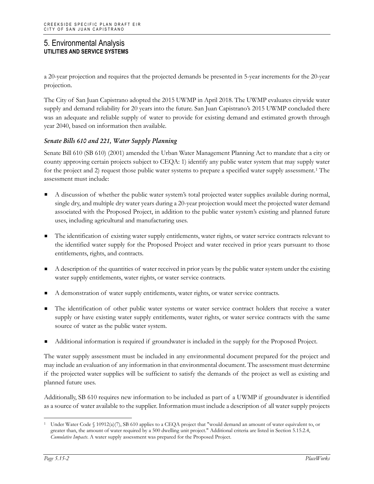a 20-year projection and requires that the projected demands be presented in 5-year increments for the 20-year projection.

The City of San Juan Capistrano adopted the 2015 UWMP in April 2018. The UWMP evaluates citywide water supply and demand reliability for 20 years into the future. San Juan Capistrano's 2015 UWMP concluded there was an adequate and reliable supply of water to provide for existing demand and estimated growth through year 2040, based on information then available.

#### *Senate Bills 610 and 221, Water Supply Planning*

Senate Bill 610 (SB 610) (2001) amended the Urban Water Management Planning Act to mandate that a city or county approving certain projects subject to CEQA: 1) identify any public water system that may supply water for the project and 2) request those public water systems to prepare a specified water supply assessment.[1](#page-1-0) The assessment must include:

- A discussion of whether the public water system's total projected water supplies available during normal, single dry, and multiple dry water years during a 20-year projection would meet the projected water demand associated with the Proposed Project, in addition to the public water system's existing and planned future uses, including agricultural and manufacturing uses.
- The identification of existing water supply entitlements, water rights, or water service contracts relevant to the identified water supply for the Proposed Project and water received in prior years pursuant to those entitlements, rights, and contracts.
- A description of the quantities of water received in prior years by the public water system under the existing water supply entitlements, water rights, or water service contracts.
- A demonstration of water supply entitlements, water rights, or water service contracts.
- The identification of other public water systems or water service contract holders that receive a water supply or have existing water supply entitlements, water rights, or water service contracts with the same source of water as the public water system.
- Additional information is required if groundwater is included in the supply for the Proposed Project.

The water supply assessment must be included in any environmental document prepared for the project and may include an evaluation of any information in that environmental document. The assessment must determine if the projected water supplies will be sufficient to satisfy the demands of the project as well as existing and planned future uses.

Additionally, SB 610 requires new information to be included as part of a UWMP if groundwater is identified as a source of water available to the supplier. Information must include a description of all water supply projects

<span id="page-1-0"></span>Under Water Code § 10912(a)(7), SB 610 applies to a CEQA project that "would demand an amount of water equivalent to, or greater than, the amount of water required by a 500 dwelling unit project." Additional criteria are listed in Section 5.15.2.4, *Cumulative Impacts*. A water supply assessment was prepared for the Proposed Project.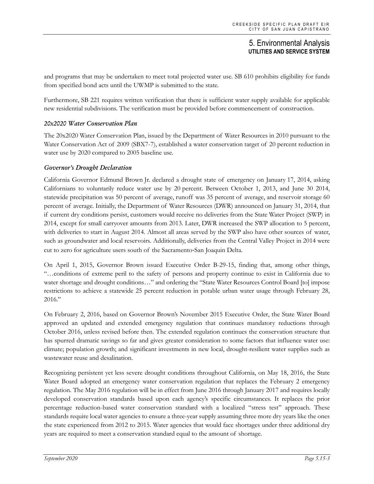and programs that may be undertaken to meet total projected water use. SB 610 prohibits eligibility for funds from specified bond acts until the UWMP is submitted to the state.

Furthermore, SB 221 requires written verification that there is sufficient water supply available for applicable new residential subdivisions. The verification must be provided before commencement of construction.

#### *20x2020 Water Conservation Plan*

The 20x2020 Water Conservation Plan, issued by the Department of Water Resources in 2010 pursuant to the Water Conservation Act of 2009 (SBX7-7), established a water conservation target of 20 percent reduction in water use by 2020 compared to 2005 baseline use.

#### *Governor's Drought Declaration*

California Governor Edmund Brown Jr. declared a drought state of emergency on January 17, 2014, asking Californians to voluntarily reduce water use by 20 percent. Between October 1, 2013, and June 30 2014, statewide precipitation was 50 percent of average, runoff was 35 percent of average, and reservoir storage 60 percent of average. Initially, the Department of Water Resources (DWR) announced on January 31, 2014, that if current dry conditions persist, customers would receive no deliveries from the State Water Project (SWP) in 2014, except for small carryover amounts from 2013. Later, DWR increased the SWP allocation to 5 percent, with deliveries to start in August 2014. Almost all areas served by the SWP also have other sources of water, such as groundwater and local reservoirs. Additionally, deliveries from the Central Valley Project in 2014 were cut to zero for agriculture users south of the Sacramento-San Joaquin Delta.

On April 1, 2015, Governor Brown issued Executive Order B-29-15, finding that, among other things, "…conditions of extreme peril to the safety of persons and property continue to exist in California due to water shortage and drought conditions…" and ordering the "State Water Resources Control Board [to] impose restrictions to achieve a statewide 25 percent reduction in potable urban water usage through February 28, 2016."

On February 2, 2016, based on Governor Brown's November 2015 Executive Order, the State Water Board approved an updated and extended emergency regulation that continues mandatory reductions through October 2016, unless revised before then. The extended regulation continues the conservation structure that has spurred dramatic savings so far and gives greater consideration to some factors that influence water use: climate; population growth; and significant investments in new local, drought-resilient water supplies such as wastewater reuse and desalination.

Recognizing persistent yet less severe drought conditions throughout California, on May 18, 2016, the State Water Board adopted an emergency water conservation regulation that replaces the February 2 emergency regulation. The May 2016 regulation will be in effect from June 2016 through January 2017 and requires locally developed conservation standards based upon each agency's specific circumstances. It replaces the prior percentage reduction-based water conservation standard with a localized "stress test" approach. These standards require local water agencies to ensure a three-year supply assuming three more dry years like the ones the state experienced from 2012 to 2015. Water agencies that would face shortages under three additional dry years are required to meet a conservation standard equal to the amount of shortage.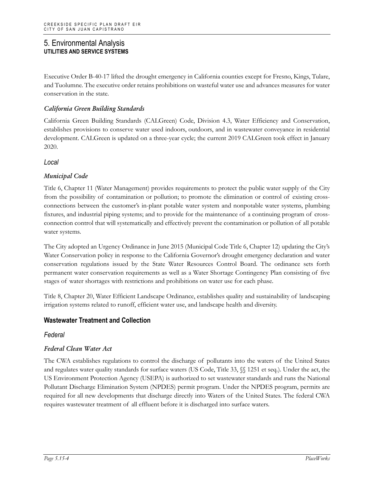Executive Order B-40-17 lifted the drought emergency in California counties except for Fresno, Kings, Tulare, and Tuolumne. The executive order retains prohibitions on wasteful water use and advances measures for water conservation in the state.

#### *California Green Building Standards*

California Green Building Standards (CALGreen) Code, Division 4.3, Water Efficiency and Conservation, establishes provisions to conserve water used indoors, outdoors, and in wastewater conveyance in residential development. CALGreen is updated on a three-year cycle; the current 2019 CALGreen took effect in January 2020.

#### *Local*

## *Municipal Code*

Title 6, Chapter 11 (Water Management) provides requirements to protect the public water supply of the City from the possibility of contamination or pollution; to promote the elimination or control of existing crossconnections between the customer's in-plant potable water system and nonpotable water systems, plumbing fixtures, and industrial piping systems; and to provide for the maintenance of a continuing program of crossconnection control that will systematically and effectively prevent the contamination or pollution of all potable water systems.

The City adopted an Urgency Ordinance in June 2015 (Municipal Code Title 6, Chapter 12) updating the City's Water Conservation policy in response to the California Governor's drought emergency declaration and water conservation regulations issued by the State Water Resources Control Board. The ordinance sets forth permanent water conservation requirements as well as a Water Shortage Contingency Plan consisting of five stages of water shortages with restrictions and prohibitions on water use for each phase.

Title 8, Chapter 20, Water Efficient Landscape Ordinance, establishes quality and sustainability of landscaping irrigation systems related to runoff, efficient water use, and landscape health and diversity.

## **Wastewater Treatment and Collection**

#### *Federal*

## *Federal Clean Water Act*

The CWA establishes regulations to control the discharge of pollutants into the waters of the United States and regulates water quality standards for surface waters (US Code, Title 33, §§ 1251 et seq.). Under the act, the US Environment Protection Agency (USEPA) is authorized to set wastewater standards and runs the National Pollutant Discharge Elimination System (NPDES) permit program. Under the NPDES program, permits are required for all new developments that discharge directly into Waters of the United States. The federal CWA requires wastewater treatment of all effluent before it is discharged into surface waters.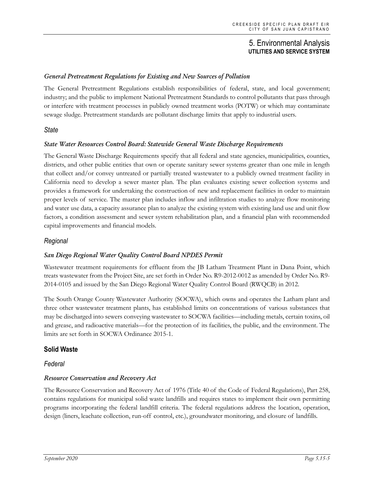#### *General Pretreatment Regulations for Existing and New Sources of Pollution*

The General Pretreatment Regulations establish responsibilities of federal, state, and local government; industry; and the public to implement National Pretreatment Standards to control pollutants that pass through or interfere with treatment processes in publicly owned treatment works (POTW) or which may contaminate sewage sludge. Pretreatment standards are pollutant discharge limits that apply to industrial users.

#### *State*

#### *State Water Resources Control Board: Statewide General Waste Discharge Requirements*

The General Waste Discharge Requirements specify that all federal and state agencies, municipalities, counties, districts, and other public entities that own or operate sanitary sewer systems greater than one mile in length that collect and/or convey untreated or partially treated wastewater to a publicly owned treatment facility in California need to develop a sewer master plan. The plan evaluates existing sewer collection systems and provides a framework for undertaking the construction of new and replacement facilities in order to maintain proper levels of service. The master plan includes inflow and infiltration studies to analyze flow monitoring and water use data, a capacity assurance plan to analyze the existing system with existing land use and unit flow factors, a condition assessment and sewer system rehabilitation plan, and a financial plan with recommended capital improvements and financial models.

#### *Regional*

#### *San Diego Regional Water Quality Control Board NPDES Permit*

Wastewater treatment requirements for effluent from the JB Latham Treatment Plant in Dana Point, which treats wastewater from the Project Site, are set forth in Order No. R9-2012-0012 as amended by Order No. R9- 2014-0105 and issued by the San Diego Regional Water Quality Control Board (RWQCB) in 2012.

The South Orange County Wastewater Authority (SOCWA), which owns and operates the Latham plant and three other wastewater treatment plants, has established limits on concentrations of various substances that may be discharged into sewers conveying wastewater to SOCWA facilities—including metals, certain toxins, oil and grease, and radioactive materials—for the protection of its facilities, the public, and the environment. The limits are set forth in SOCWA Ordinance 2015-1.

#### **Solid Waste**

#### *Federal*

#### *Resource Conservation and Recovery Act*

The Resource Conservation and Recovery Act of 1976 (Title 40 of the Code of Federal Regulations), Part 258, contains regulations for municipal solid waste landfills and requires states to implement their own permitting programs incorporating the federal landfill criteria. The federal regulations address the location, operation, design (liners, leachate collection, run-off control, etc.), groundwater monitoring, and closure of landfills.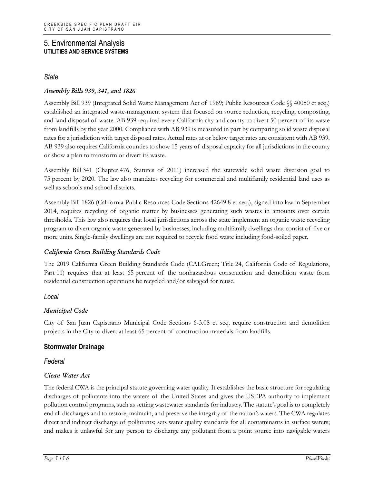## *State*

## *Assembly Bills 939, 341, and 1826*

Assembly Bill 939 (Integrated Solid Waste Management Act of 1989; Public Resources Code §§ 40050 et seq.) established an integrated waste-management system that focused on source reduction, recycling, composting, and land disposal of waste. AB 939 required every California city and county to divert 50 percent of its waste from landfills by the year 2000. Compliance with AB 939 is measured in part by comparing solid waste disposal rates for a jurisdiction with target disposal rates. Actual rates at or below target rates are consistent with AB 939. AB 939 also requires California counties to show 15 years of disposal capacity for all jurisdictions in the county or show a plan to transform or divert its waste.

Assembly Bill 341 (Chapter 476, Statutes of 2011) increased the statewide solid waste diversion goal to 75 percent by 2020. The law also mandates recycling for commercial and multifamily residential land uses as well as schools and school districts.

Assembly Bill 1826 (California Public Resources Code Sections 42649.8 et seq.), signed into law in September 2014, requires recycling of organic matter by businesses generating such wastes in amounts over certain thresholds. This law also requires that local jurisdictions across the state implement an organic waste recycling program to divert organic waste generated by businesses, including multifamily dwellings that consist of five or more units. Single-family dwellings are not required to recycle food waste including food-soiled paper.

#### *California Green Building Standards Code*

The 2019 California Green Building Standards Code (CALGreen; Title 24, California Code of Regulations, Part 11) requires that at least 65 percent of the nonhazardous construction and demolition waste from residential construction operations be recycled and/or salvaged for reuse.

## *Local*

## *Municipal Code*

City of San Juan Capistrano Municipal Code Sections 6-3.08 et seq. require construction and demolition projects in the City to divert at least 65 percent of construction materials from landfills.

## **Stormwater Drainage**

#### *Federal*

#### *Clean Water Act*

The federal CWA is the principal statute governing water quality. It establishes the basic structure for regulating discharges of pollutants into the waters of the United States and gives the USEPA authority to implement pollution control programs, such as setting wastewater standards for industry. The statute's goal is to completely end all discharges and to restore, maintain, and preserve the integrity of the nation's waters. The CWA regulates direct and indirect discharge of pollutants; sets water quality standards for all contaminants in surface waters; and makes it unlawful for any person to discharge any pollutant from a point source into navigable waters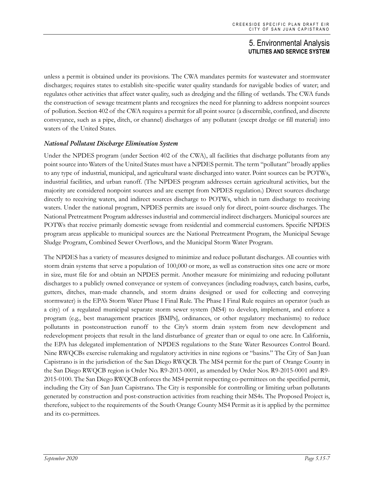unless a permit is obtained under its provisions. The CWA mandates permits for wastewater and stormwater discharges; requires states to establish site-specific water quality standards for navigable bodies of water; and regulates other activities that affect water quality, such as dredging and the filling of wetlands. The CWA funds the construction of sewage treatment plants and recognizes the need for planning to address nonpoint sources of pollution. Section 402 of the CWA requires a permit for all point source (a discernible, confined, and discrete conveyance, such as a pipe, ditch, or channel) discharges of any pollutant (except dredge or fill material) into waters of the United States.

#### *National Pollutant Discharge Elimination System*

Under the NPDES program (under Section 402 of the CWA), all facilities that discharge pollutants from any point source into Waters of the United States must have a NPDES permit. The term "pollutant" broadly applies to any type of industrial, municipal, and agricultural waste discharged into water. Point sources can be POTWs, industrial facilities, and urban runoff. (The NPDES program addresses certain agricultural activities, but the majority are considered nonpoint sources and are exempt from NPDES regulation.) Direct sources discharge directly to receiving waters, and indirect sources discharge to POTWs, which in turn discharge to receiving waters. Under the national program, NPDES permits are issued only for direct, point-source discharges. The National Pretreatment Program addresses industrial and commercial indirect dischargers. Municipal sources are POTWs that receive primarily domestic sewage from residential and commercial customers. Specific NPDES program areas applicable to municipal sources are the National Pretreatment Program, the Municipal Sewage Sludge Program, Combined Sewer Overflows, and the Municipal Storm Water Program.

The NPDES has a variety of measures designed to minimize and reduce pollutant discharges. All counties with storm drain systems that serve a population of 100,000 or more, as well as construction sites one acre or more in size, must file for and obtain an NPDES permit. Another measure for minimizing and reducing pollutant discharges to a publicly owned conveyance or system of conveyances (including roadways, catch basins, curbs, gutters, ditches, man-made channels, and storm drains designed or used for collecting and conveying stormwater) is the EPA's Storm Water Phase I Final Rule. The Phase I Final Rule requires an operator (such as a city) of a regulated municipal separate storm sewer system (MS4) to develop, implement, and enforce a program (e.g., best management practices [BMPs], ordinances, or other regulatory mechanisms) to reduce pollutants in postconstruction runoff to the City's storm drain system from new development and redevelopment projects that result in the land disturbance of greater than or equal to one acre. In California, the EPA has delegated implementation of NPDES regulations to the State Water Resources Control Board. Nine RWQCBs exercise rulemaking and regulatory activities in nine regions or "basins." The City of San Juan Capistrano is in the jurisdiction of the San Diego RWQCB. The MS4 permit for the part of Orange County in the San Diego RWQCB region is Order No. R9-2013-0001, as amended by Order Nos. R9-2015-0001 and R9- 2015-0100. The San Diego RWQCB enforces the MS4 permit respecting co-permittees on the specified permit, including the City of San Juan Capistrano. The City is responsible for controlling or limiting urban pollutants generated by construction and post-construction activities from reaching their MS4s. The Proposed Project is, therefore, subject to the requirements of the South Orange County MS4 Permit as it is applied by the permittee and its co-permittees.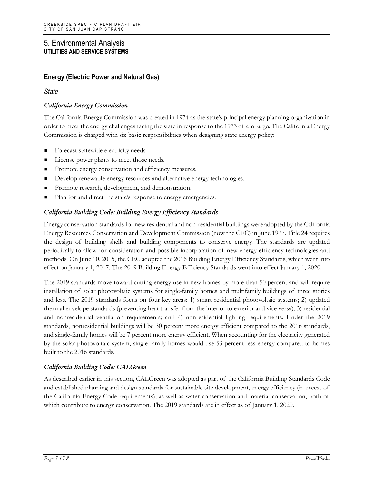## **Energy (Electric Power and Natural Gas)**

*State*

#### *California Energy Commission*

The California Energy Commission was created in 1974 as the state's principal energy planning organization in order to meet the energy challenges facing the state in response to the 1973 oil embargo. The California Energy Commission is charged with six basic responsibilities when designing state energy policy:

- Forecast statewide electricity needs.
- License power plants to meet those needs.
- Promote energy conservation and efficiency measures.
- Develop renewable energy resources and alternative energy technologies.
- Promote research, development, and demonstration.
- Plan for and direct the state's response to energy emergencies.

#### *California Building Code: Building Energy Efficiency Standards*

Energy conservation standards for new residential and non-residential buildings were adopted by the California Energy Resources Conservation and Development Commission (now the CEC) in June 1977. Title 24 requires the design of building shells and building components to conserve energy. The standards are updated periodically to allow for consideration and possible incorporation of new energy efficiency technologies and methods. On June 10, 2015, the CEC adopted the 2016 Building Energy Efficiency Standards, which went into effect on January 1, 2017. The 2019 Building Energy Efficiency Standards went into effect January 1, 2020.

The 2019 standards move toward cutting energy use in new homes by more than 50 percent and will require installation of solar photovoltaic systems for single-family homes and multifamily buildings of three stories and less. The 2019 standards focus on four key areas: 1) smart residential photovoltaic systems; 2) updated thermal envelope standards (preventing heat transfer from the interior to exterior and vice versa); 3) residential and nonresidential ventilation requirements; and 4) nonresidential lighting requirements. Under the 2019 standards, nonresidential buildings will be 30 percent more energy efficient compared to the 2016 standards, and single-family homes will be 7 percent more energy efficient. When accounting for the electricity generated by the solar photovoltaic system, single-family homes would use 53 percent less energy compared to homes built to the 2016 standards.

#### *California Building Code: CALGreen*

As described earlier in this section, CALGreen was adopted as part of the California Building Standards Code and established planning and design standards for sustainable site development, energy efficiency (in excess of the California Energy Code requirements), as well as water conservation and material conservation, both of which contribute to energy conservation. The 2019 standards are in effect as of January 1, 2020.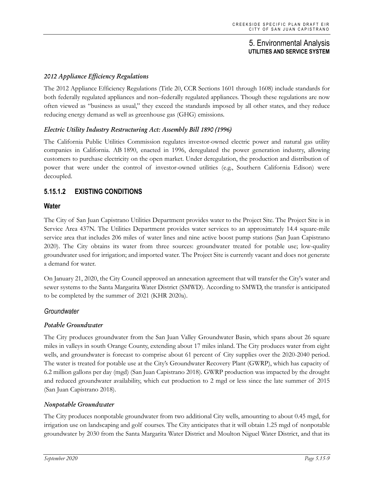## *2012 Appliance Efficiency Regulations*

The 2012 Appliance Efficiency Regulations (Title 20, CCR Sections 1601 through 1608) include standards for both federally regulated appliances and non–federally regulated appliances. Though these regulations are now often viewed as "business as usual," they exceed the standards imposed by all other states, and they reduce reducing energy demand as well as greenhouse gas (GHG) emissions.

#### *Electric Utility Industry Restructuring Act: Assembly Bill 1890 (1996)*

The California Public Utilities Commission regulates investor-owned electric power and natural gas utility companies in California. AB 1890, enacted in 1996, deregulated the power generation industry, allowing customers to purchase electricity on the open market. Under deregulation, the production and distribution of power that were under the control of investor-owned utilities (e.g., Southern California Edison) were decoupled.

## **5.15.1.2 EXISTING CONDITIONS**

#### **Water**

The City of San Juan Capistrano Utilities Department provides water to the Project Site. The Project Site is in Service Area 437N. The Utilities Department provides water services to an approximately 14.4 square-mile service area that includes 206 miles of water lines and nine active boost pump stations (San Juan Capistrano 2020). The City obtains its water from three sources: groundwater treated for potable use; low-quality groundwater used for irrigation; and imported water. The Project Site is currently vacant and does not generate a demand for water.

On January 21, 2020, the City Council approved an annexation agreement that will transfer the City's water and sewer systems to the Santa Margarita Water District (SMWD). According to SMWD, the transfer is anticipated to be completed by the summer of 2021 (KHR 2020a).

#### *Groundwater*

#### *Potable Groundwater*

The City produces groundwater from the San Juan Valley Groundwater Basin, which spans about 26 square miles in valleys in south Orange County, extending about 17 miles inland. The City produces water from eight wells, and groundwater is forecast to comprise about 61 percent of City supplies over the 2020-2040 period. The water is treated for potable use at the City's Groundwater Recovery Plant (GWRP), which has capacity of 6.2 million gallons per day (mgd) (San Juan Capistrano 2018). GWRP production was impacted by the drought and reduced groundwater availability, which cut production to 2 mgd or less since the late summer of 2015 (San Juan Capistrano 2018).

#### *Nonpotable Groundwater*

The City produces nonpotable groundwater from two additional City wells, amounting to about 0.45 mgd, for irrigation use on landscaping and golf courses. The City anticipates that it will obtain 1.25 mgd of nonpotable groundwater by 2030 from the Santa Margarita Water District and Moulton Niguel Water District, and that its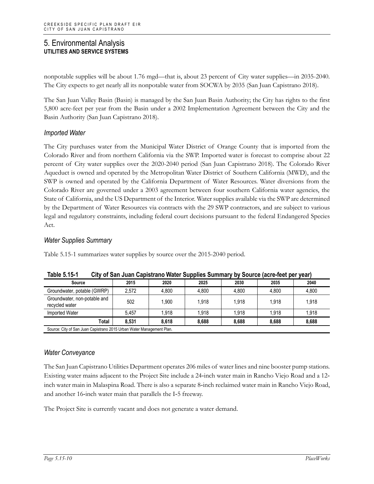nonpotable supplies will be about 1.76 mgd—that is, about 23 percent of City water supplies—in 2035-2040. The City expects to get nearly all its nonpotable water from SOCWA by 2035 (San Juan Capistrano 2018).

The San Juan Valley Basin (Basin) is managed by the San Juan Basin Authority; the City has rights to the first 5,800 acre-feet per year from the Basin under a 2002 Implementation Agreement between the City and the Basin Authority (San Juan Capistrano 2018).

## *Imported Water*

The City purchases water from the Municipal Water District of Orange County that is imported from the Colorado River and from northern California via the SWP. Imported water is forecast to comprise about 22 percent of City water supplies over the 2020-2040 period (San Juan Capistrano 2018). The Colorado River Aqueduct is owned and operated by the Metropolitan Water District of Southern California (MWD), and the SWP is owned and operated by the California Department of Water Resources. Water diversions from the Colorado River are governed under a 2003 agreement between four southern California water agencies, the State of California, and the US Department of the Interior. Water supplies available via the SWP are determined by the Department of Water Resources via contracts with the 29 SWP contractors, and are subject to various legal and regulatory constraints, including federal court decisions pursuant to the federal Endangered Species Act.

#### *Water Supplies Summary*

Table 5.15-1 summarizes water supplies by source over the 2015-2040 period.

| ו יט. ו טיונו<br><u>Ully Of Safi Juan Capistralio Waler Supplies Suffilliary by Source (acre-leet per year)</u> |       |       |       |       |       |
|-----------------------------------------------------------------------------------------------------------------|-------|-------|-------|-------|-------|
| 2015                                                                                                            | 2020  | 2025  | 2030  | 2035  | 2040  |
| 2.572                                                                                                           | 4.800 | 4.800 | 4.800 | 4.800 | 4.800 |
| 502                                                                                                             | 1.900 | 1.918 | 1.918 | 1.918 | 1.918 |
| 5.457                                                                                                           | 1.918 | 1.918 | 1.918 | 1.918 | 1.918 |
| 8.531                                                                                                           | 8.618 | 8.688 | 8.688 | 8.688 | 8.688 |
|                                                                                                                 |       |       |       |       |       |

**Table 5.15-1 City of San Juan Capistrano Water Supplies Summary by Source (acre-feet per year)**

## *Water Conveyance*

The San Juan Capistrano Utilities Department operates 206 miles of water lines and nine booster pump stations. Existing water mains adjacent to the Project Site include a 24‐inch water main in Rancho Viejo Road and a 12‐ inch water main in Malaspina Road. There is also a separate 8‐inch reclaimed water main in Rancho Viejo Road, and another 16‐inch water main that parallels the I‐5 freeway.

The Project Site is currently vacant and does not generate a water demand.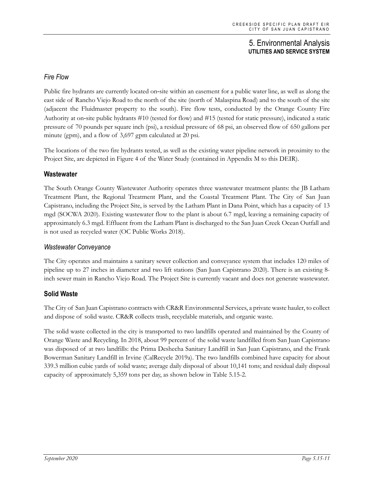## *Fire Flow*

Public fire hydrants are currently located on‐site within an easement for a public water line, as well as along the east side of Rancho Viejo Road to the north of the site (north of Malaspina Road) and to the south of the site (adjacent the Fluidmaster property to the south). Fire flow tests, conducted by the Orange County Fire Authority at on‐site public hydrants #10 (tested for flow) and #15 (tested for static pressure), indicated a static pressure of 70 pounds per square inch (psi), a residual pressure of 68 psi, an observed flow of 650 gallons per minute (gpm), and a flow of 3,697 gpm calculated at 20 psi.

The locations of the two fire hydrants tested, as well as the existing water pipeline network in proximity to the Project Site, are depicted in Figure 4 of the Water Study (contained in Appendix M to this DEIR).

## **Wastewater**

The South Orange County Wastewater Authority operates three wastewater treatment plants: the JB Latham Treatment Plant, the Regional Treatment Plant, and the Coastal Treatment Plant. The City of San Juan Capistrano, including the Project Site, is served by the Latham Plant in Dana Point, which has a capacity of 13 mgd (SOCWA 2020). Existing wastewater flow to the plant is about 6.7 mgd, leaving a remaining capacity of approximately 6.3 mgd. Effluent from the Latham Plant is discharged to the San Juan Creek Ocean Outfall and is not used as recycled water (OC Public Works 2018).

#### *Wastewater Conveyance*

The City operates and maintains a sanitary sewer collection and conveyance system that includes 120 miles of pipeline up to 27 inches in diameter and two lift stations (San Juan Capistrano 2020). There is an existing 8 inch sewer main in Rancho Viejo Road. The Project Site is currently vacant and does not generate wastewater.

## **Solid Waste**

The City of San Juan Capistrano contracts with CR&R Environmental Services, a private waste hauler, to collect and dispose of solid waste. CR&R collects trash, recyclable materials, and organic waste.

The solid waste collected in the city is transported to two landfills operated and maintained by the County of Orange Waste and Recycling. In 2018, about 99 percent of the solid waste landfilled from San Juan Capistrano was disposed of at two landfills: the Prima Deshecha Sanitary Landfill in San Juan Capistrano, and the Frank Bowerman Sanitary Landfill in Irvine (CalRecycle 2019a). The two landfills combined have capacity for about 339.3 million cubic yards of solid waste; average daily disposal of about 10,141 tons; and residual daily disposal capacity of approximately 5,359 tons per day, as shown below in Table 5.15-2.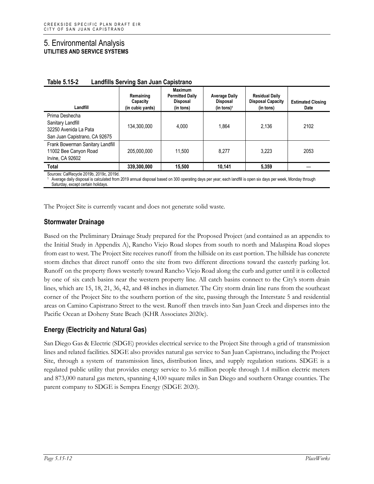| Landfill                                                                                      | Remaining<br>Capacity<br>(in cubic yards) | <b>Maximum</b><br><b>Permitted Daily</b><br><b>Disposal</b><br>(in tons) | <b>Average Daily</b><br>Disposal<br>(in tons) <sup>1</sup> | <b>Residual Daily</b><br><b>Disposal Capacity</b><br>(in tons) | <b>Estimated Closing</b><br><b>Date</b> |
|-----------------------------------------------------------------------------------------------|-------------------------------------------|--------------------------------------------------------------------------|------------------------------------------------------------|----------------------------------------------------------------|-----------------------------------------|
| Prima Deshecha<br>Sanitary Landfill<br>32250 Avenida La Pata<br>San Juan Capistrano, CA 92675 | 134,300,000                               | 4.000                                                                    | 1.864                                                      | 2.136                                                          | 2102                                    |
| Frank Bowerman Sanitary Landfill<br>11002 Bee Canyon Road<br>Irvine, CA 92602                 | 205.000.000                               | 11.500                                                                   | 8.277                                                      | 3.223                                                          | 2053                                    |
| <b>Total</b>                                                                                  | 339,300,000                               | 15.500                                                                   | 10.141                                                     | 5.359                                                          |                                         |

| Table 5.15-2 | Landfills Serving San Juan Capistrano |
|--------------|---------------------------------------|
|--------------|---------------------------------------|

Sources: CalRecycle 2019b, 2019c, 2019d.

Average daily disposal is calculated from 2019 annual disposal based on 300 operating days per year; each landfill is open six days per week, Monday through Saturday, except certain holidays.

The Project Site is currently vacant and does not generate solid waste.

## **Stormwater Drainage**

Based on the Preliminary Drainage Study prepared for the Proposed Project (and contained as an appendix to the Initial Study in Appendix A), Rancho Viejo Road slopes from south to north and Malaspina Road slopes from east to west. The Project Site receives runoff from the hillside on its east portion. The hillside has concrete storm ditches that direct runoff onto the site from two different directions toward the easterly parking lot. Runoff on the property flows westerly toward Rancho Viejo Road along the curb and gutter until it is collected by one of six catch basins near the western property line. All catch basins connect to the City's storm drain lines, which are 15, 18, 21, 36, 42, and 48 inches in diameter. The City storm drain line runs from the southeast corner of the Project Site to the southern portion of the site, passing through the Interstate 5 and residential areas on Camino Capistrano Street to the west. Runoff then travels into San Juan Creek and disperses into the Pacific Ocean at Doheny State Beach (KHR Associates 2020c).

## **Energy (Electricity and Natural Gas)**

San Diego Gas & Electric (SDGE) provides electrical service to the Project Site through a grid of transmission lines and related facilities. SDGE also provides natural gas service to San Juan Capistrano, including the Project Site, through a system of transmission lines, distribution lines, and supply regulation stations. SDGE is a regulated public utility that provides energy service to 3.6 million people through 1.4 million electric meters and 873,000 natural gas meters, spanning 4,100 square miles in San Diego and southern Orange counties. The parent company to SDGE is Sempra Energy (SDGE 2020).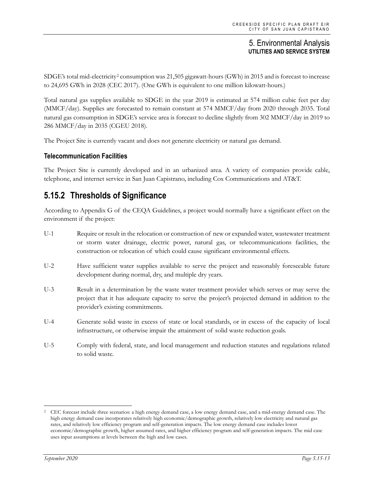SDGE's total mid-electricity[2](#page-12-0) consumption was 21,505 gigawatt-hours (GWh) in 2015 and is forecast to increase to 24,695 GWh in 2028 (CEC 2017). (One GWh is equivalent to one million kilowatt-hours.)

Total natural gas supplies available to SDGE in the year 2019 is estimated at 574 million cubic feet per day (MMCF/day). Supplies are forecasted to remain constant at 574 MMCF/day from 2020 through 2035. Total natural gas consumption in SDGE's service area is forecast to decline slightly from 302 MMCF/day in 2019 to 286 MMCF/day in 2035 (CGEU 2018).

The Project Site is currently vacant and does not generate electricity or natural gas demand.

## **Telecommunication Facilities**

The Project Site is currently developed and in an urbanized area. A variety of companies provide cable, telephone, and internet service in San Juan Capistrano, including Cox Communications and AT&T.

# **5.15.2 Thresholds of Significance**

According to Appendix G of the CEQA Guidelines, a project would normally have a significant effect on the environment if the project:

- U-1 Require or result in the relocation or construction of new or expanded water, wastewater treatment or storm water drainage, electric power, natural gas, or telecommunications facilities, the construction or relocation of which could cause significant environmental effects.
- U-2 Have sufficient water supplies available to serve the project and reasonably foreseeable future development during normal, dry, and multiple dry years.
- U-3 Result in a determination by the waste water treatment provider which serves or may serve the project that it has adequate capacity to serve the project's projected demand in addition to the provider's existing commitments.
- U-4 Generate solid waste in excess of state or local standards, or in excess of the capacity of local infrastructure, or otherwise impair the attainment of solid waste reduction goals.
- U-5 Comply with federal, state, and local management and reduction statutes and regulations related to solid waste.

<span id="page-12-0"></span><sup>2</sup> CEC forecast include three scenarios: a high energy demand case, a low energy demand case, and a mid-energy demand case. The high energy demand case incorporates relatively high economic/demographic growth, relatively low electricity and natural gas rates, and relatively low efficiency program and self-generation impacts. The low energy demand case includes lower economic/demographic growth, higher assumed rates, and higher efficiency program and self-generation impacts. The mid case uses input assumptions at levels between the high and low cases.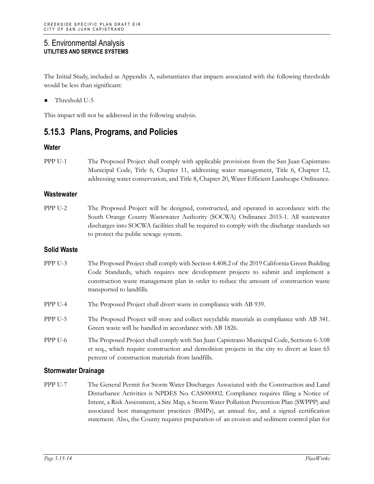The Initial Study, included as Appendix A, substantiates that impacts associated with the following thresholds would be less than significant:

Threshold U-5

This impact will not be addressed in the following analysis.

## **5.15.3 Plans, Programs, and Policies**

#### **Water**

PPP U-1 The Proposed Project shall comply with applicable provisions from the San Juan Capistrano Municipal Code, Title 6, Chapter 11, addressing water management, Title 6, Chapter 12, addressing water conservation, and Title 8, Chapter 20, Water Efficient Landscape Ordinance.

#### **Wastewater**

PPP U-2 The Proposed Project will be designed, constructed, and operated in accordance with the South Orange County Wastewater Authority (SOCWA) Ordinance 2015-1. All wastewater discharges into SOCWA facilities shall be required to comply with the discharge standards set to protect the public sewage system.

#### **Solid Waste**

- PPP U-3 The Proposed Project shall comply with Section 4.408.2 of the 2019 California Green Building Code Standards, which requires new development projects to submit and implement a construction waste management plan in order to reduce the amount of construction waste transported to landfills.
- PPP U-4 The Proposed Project shall divert waste in compliance with AB 939.
- PPP U-5 The Proposed Project will store and collect recyclable materials in compliance with AB 341. Green waste will be handled in accordance with AB 1826.
- PPP U-6 The Proposed Project shall comply with San Juan Capistrano Municipal Code, Sections 6-3.08 et seq., which require construction and demolition projects in the city to divert at least 65 percent of construction materials from landfills.

#### **Stormwater Drainage**

PPP U-7 The General Permit for Storm Water Discharges Associated with the Construction and Land Disturbance Activities is NPDES No. CAS000002. Compliance requires filing a Notice of Intent, a Risk Assessment, a Site Map, a Storm Water Pollution Prevention Plan (SWPPP) and associated best management practices (BMPs), an annual fee, and a signed certification statement. Also, the County requires preparation of an erosion and sediment control plan for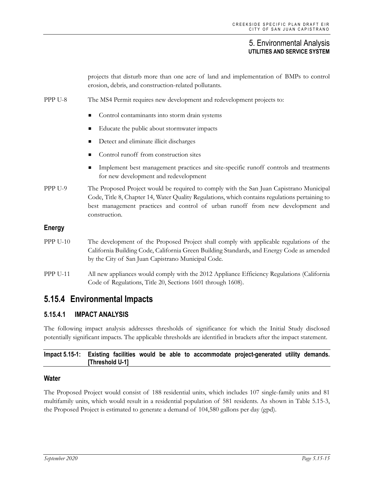projects that disturb more than one acre of land and implementation of BMPs to control erosion, debris, and construction-related pollutants. PPP U-8 The MS4 Permit requires new development and redevelopment projects to: Control contaminants into storm drain systems Educate the public about stormwater impacts Detect and eliminate illicit discharges Control runoff from construction sites Implement best management practices and site-specific runoff controls and treatments for new development and redevelopment PPP U-9 The Proposed Project would be required to comply with the San Juan Capistrano Municipal Code, Title 8, Chapter 14, Water Quality Regulations, which contains regulations pertaining to best management practices and control of urban runoff from new development and construction. **Energy** PPP U-10 The development of the Proposed Project shall comply with applicable regulations of the California Building Code, California Green Building Standards, and Energy Code as amended by the City of San Juan Capistrano Municipal Code. PPP U-11 All new appliances would comply with the 2012 Appliance Efficiency Regulations (California Code of Regulations, Title 20, Sections 1601 through 1608). **5.15.4 Environmental Impacts**

## **5.15.4.1 IMPACT ANALYSIS**

The following impact analysis addresses thresholds of significance for which the Initial Study disclosed potentially significant impacts. The applicable thresholds are identified in brackets after the impact statement.

#### **Impact 5.15-1: Existing facilities would be able to accommodate project-generated utility demands. [Threshold U-1]**

#### **Water**

The Proposed Project would consist of 188 residential units, which includes 107 single-family units and 81 multifamily units, which would result in a residential population of 581 residents. As shown in Table 5.15-3, the Proposed Project is estimated to generate a demand of 104,580 gallons per day (gpd).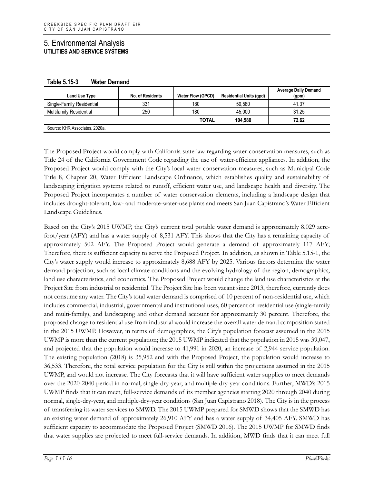| Land Use Type                  | No. of Residents | <b>Water Flow (GPCD)</b> | <b>Residential Units (gpd)</b> | <b>Average Daily Demand</b><br>(gpm) |
|--------------------------------|------------------|--------------------------|--------------------------------|--------------------------------------|
| Single-Family Residential      | 331              | 180                      | 59.580                         | 41.37                                |
| <b>Multifamily Residential</b> | 250              | 180                      | 45.000                         | 31.25                                |
|                                |                  | <b>TOTAL</b>             | 104.580                        | 72.62                                |
| Source: KHR Associates, 2020a. |                  |                          |                                |                                      |

**Table 5.15-3 Water Demand**

The Proposed Project would comply with California state law regarding water conservation measures, such as Title 24 of the California Government Code regarding the use of water-efficient appliances. In addition, the Proposed Project would comply with the City's local water conservation measures, such as Municipal Code Title 8, Chapter 20, Water Efficient Landscape Ordinance, which establishes quality and sustainability of landscaping irrigation systems related to runoff, efficient water use, and landscape health and diversity. The Proposed Project incorporates a number of water conservation elements, including a landscape design that includes drought-tolerant, low- and moderate-water-use plants and meets San Juan Capistrano's Water Efficient Landscape Guidelines.

Based on the City's 2015 UWMP, the City's current total potable water demand is approximately 8,029 acrefoot/year (AFY) and has a water supply of 8,531 AFY. This shows that the City has a remaining capacity of approximately 502 AFY. The Proposed Project would generate a demand of approximately 117 AFY; Therefore, there is sufficient capacity to serve the Proposed Project. In addition, as shown in Table 5.15-1, the City's water supply would increase to approximately 8,688 AFY by 2025. Various factors determine the water demand projection, such as local climate conditions and the evolving hydrology of the region, demographics, land use characteristics, and economics. The Proposed Project would change the land use characteristics at the Project Site from industrial to residential. The Project Site has been vacant since 2013, therefore, currently does not consume any water. The City's total water demand is comprised of 10 percent of non-residential use, which includes commercial, industrial, governmental and institutional uses, 60 percent of residential use (single-family and multi-family), and landscaping and other demand account for approximately 30 percent. Therefore, the proposed change to residential use from industrial would increase the overall water demand composition stated in the 2015 UWMP. However, in terms of demographics, the City's population forecast assumed in the 2015 UWMP is more than the current population; the 2015 UWMP indicated that the population in 2015 was 39,047, and projected that the population would increase to 41,991 in 2020, an increase of 2,944 service population. The existing population (2018) is 35,952 and with the Proposed Project, the population would increase to 36,533. Therefore, the total service population for the City is still within the projections assumed in the 2015 UWMP, and would not increase. The City forecasts that it will have sufficient water supplies to meet demands over the 2020-2040 period in normal, single-dry-year, and multiple-dry-year conditions. Further, MWD's 2015 UWMP finds that it can meet, full-service demands of its member agencies starting 2020 through 2040 during normal, single-dry-year, and multiple-dry-year conditions (San Juan Capistrano 2018). The City is in the process of transferring its water services to SMWD. The 2015 UWMP prepared for SMWD shows that the SMWD has an existing water demand of approximately 26,910 AFY and has a water supply of 34,405 AFY. SMWD has sufficient capacity to accommodate the Proposed Project (SMWD 2016). The 2015 UWMP for SMWD finds that water supplies are projected to meet full-service demands. In addition, MWD finds that it can meet full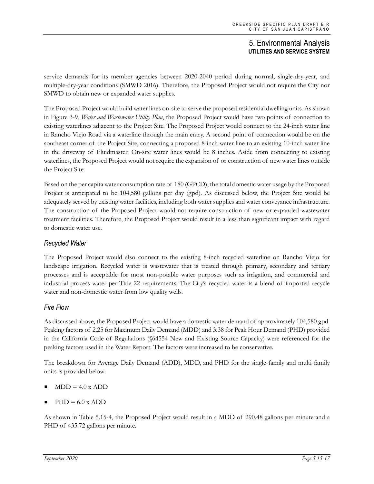service demands for its member agencies between 2020-2040 period during normal, single-dry-year, and multiple-dry-year conditions (SMWD 2016). Therefore, the Proposed Project would not require the City nor SMWD to obtain new or expanded water supplies.

The Proposed Project would build water lines on-site to serve the proposed residential dwelling units. As shown in Figure 3-9, *Water and Wastewater Utility Plan*, the Proposed Project would have two points of connection to existing waterlines adjacent to the Project Site. The Proposed Project would connect to the 24-inch water line in Rancho Viejo Road via a waterline through the main entry. A second point of connection would be on the southeast corner of the Project Site, connecting a proposed 8-inch water line to an existing 10-inch water line in the driveway of Fluidmaster. On-site water lines would be 8 inches. Aside from connecting to existing waterlines, the Proposed Project would not require the expansion of or construction of new water lines outside the Project Site.

Based on the per capita water consumption rate of 180 (GPCD), the total domestic water usage by the Proposed Project is anticipated to be 104,580 gallons per day (gpd). As discussed below, the Project Site would be adequately served by existing water facilities, including both water supplies and water conveyance infrastructure. The construction of the Proposed Project would not require construction of new or expanded wastewater treatment facilities. Therefore, the Proposed Project would result in a less than significant impact with regard to domestic water use.

## *Recycled Water*

The Proposed Project would also connect to the existing 8-inch recycled waterline on Rancho Viejo for landscape irrigation. Recycled water is wastewater that is treated through primary, secondary and tertiary processes and is acceptable for most non-potable water purposes such as irrigation, and commercial and industrial process water per Title 22 requirements. The City's recycled water is a blend of imported recycle water and non-domestic water from low quality wells.

## *Fire Flow*

As discussed above, the Proposed Project would have a domestic water demand of approximately 104,580 gpd. Peaking factors of 2.25 for Maximum Daily Demand (MDD) and 3.38 for Peak Hour Demand (PHD) provided in the California Code of Regulations (§64554 New and Existing Source Capacity) were referenced for the peaking factors used in the Water Report. The factors were increased to be conservative.

The breakdown for Average Daily Demand (ADD), MDD, and PHD for the single‐family and multi‐family units is provided below:

- $MDD = 4.0 \times ADD$
- $PHD = 6.0 \times ADD$

As shown in Table 5.15-4, the Proposed Project would result in a MDD of 290.48 gallons per minute and a PHD of 435.72 gallons per minute.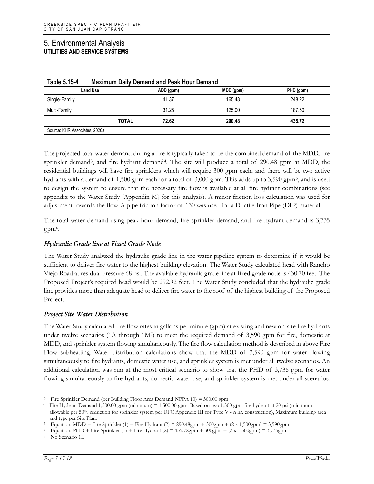| <b>Land Use</b>                | ADD (gpm)             | MDD (gpm) | PHD (gpm) |
|--------------------------------|-----------------------|-----------|-----------|
| Single-Family                  | 41.37                 | 165.48    | 248.22    |
| Multi-Family                   | 31.25                 | 125.00    | 187.50    |
|                                | <b>TOTAL</b><br>72.62 | 290.48    | 435.72    |
| Source: KHR Associates, 2020a. |                       |           |           |

| Table 5.15-4 | <b>Maximum Daily Demand and Peak Hour Demand</b> |
|--------------|--------------------------------------------------|
|--------------|--------------------------------------------------|

The projected total water demand during a fire is typically taken to be the combined demand of the MDD, fire sprinkler demand<sup>3</sup>, and fire hydrant demand<sup>[4](#page-17-1)</sup>. The site will produce a total of 290.48 gpm at MDD, the residential buildings will have fire sprinklers which will require 300 gpm each, and there will be two active hydrants with a demand of 1,500 gpm each for a total of 3,000 gpm. This adds up to 3,590 gpm[5,](#page-17-2) and is used to design the system to ensure that the necessary fire flow is available at all fire hydrant combinations (see appendix to the Water Study [Appendix M] for this analysis). A minor friction loss calculation was used for adjustment towards the flow. A pipe friction factor of 130 was used for a Ductile Iron Pipe (DIP) material.

The total water demand using peak hour demand, fire sprinkler demand, and fire hydrant demand is 3,735  $gpm<sup>6</sup>$  $gpm<sup>6</sup>$  $gpm<sup>6</sup>$ .

#### *Hydraulic Grade line at Fixed Grade Node*

The Water Study analyzed the hydraulic grade line in the water pipeline system to determine if it would be sufficient to deliver fire water to the highest building elevation. The Water Study calculated head with Rancho Viejo Road at residual pressure 68 psi. The available hydraulic grade line at fixed grade node is 430.70 feet. The Proposed Project's required head would be 292.92 feet. The Water Study concluded that the hydraulic grade line provides more than adequate head to deliver fire water to the roof of the highest building of the Proposed Project.

#### *Project Site Water Distribution*

The Water Study calculated fire flow rates in gallons per minute (gpm) at existing and new on-site fire hydrants under twelve scenarios (1A through  $1M<sup>7</sup>$ ) to meet the required demand of 3,590 gpm for fire, domestic at MDD, and sprinkler system flowing simultaneously. The fire flow calculation method is described in above Fire Flow subheading. Water distribution calculations show that the MDD of 3,590 gpm for water flowing simultaneously to fire hydrants, domestic water use, and sprinkler system is met under all twelve scenarios. An additional calculation was run at the most critical scenario to show that the PHD of 3,735 gpm for water flowing simultaneously to fire hydrants, domestic water use, and sprinkler system is met under all scenarios.

<sup>3</sup> Fire Sprinkler Demand (per Building Floor Area Demand NFPA 13) = 300.00 gpm

<span id="page-17-1"></span><span id="page-17-0"></span><sup>4</sup> Fire Hydrant Demand 1,500.00 gpm (minimum) = 1,500.00 gpm. Based on two 1,500 gpm fire hydrant at 20 psi (minimum allowable per 50% reduction for sprinkler system per UFC Appendix III for Type V ‐ n hr. construction), Maximum building area and type per Site Plan.

<span id="page-17-2"></span> $5$  Equation: MDD + Fire Sprinkler (1) + Fire Hydrant (2) = 290.48gpm + 300gpm + (2 x 1,500gpm) = 3,590gpm

<span id="page-17-4"></span><span id="page-17-3"></span> $6$  Equation: PHD + Fire Sprinkler (1) + Fire Hydrant (2) = 435.72gpm + 300gpm + (2 x 1,500gpm) = 3,735gpm

No Scenario 1I.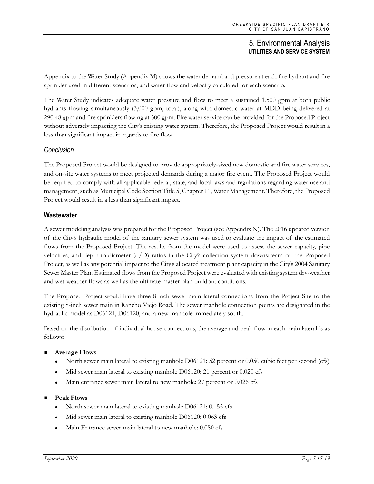Appendix to the Water Study (Appendix M) shows the water demand and pressure at each fire hydrant and fire sprinkler used in different scenarios, and water flow and velocity calculated for each scenario.

The Water Study indicates adequate water pressure and flow to meet a sustained 1,500 gpm at both public hydrants flowing simultaneously (3,000 gpm, total), along with domestic water at MDD being delivered at 290.48 gpm and fire sprinklers flowing at 300 gpm. Fire water service can be provided for the Proposed Project without adversely impacting the City's existing water system. Therefore, the Proposed Project would result in a less than significant impact in regards to fire flow.

## *Conclusion*

The Proposed Project would be designed to provide appropriately‐sized new domestic and fire water services, and on‐site water systems to meet projected demands during a major fire event. The Proposed Project would be required to comply with all applicable federal, state, and local laws and regulations regarding water use and management, such as Municipal Code Section Title 5, Chapter 11, Water Management. Therefore, the Proposed Project would result in a less than significant impact.

#### **Wastewater**

A sewer modeling analysis was prepared for the Proposed Project (see Appendix N). The 2016 updated version of the City's hydraulic model of the sanitary sewer system was used to evaluate the impact of the estimated flows from the Proposed Project. The results from the model were used to assess the sewer capacity, pipe velocities, and depth-to-diameter (d/D) ratios in the City's collection system downstream of the Proposed Project, as well as any potential impact to the City's allocated treatment plant capacity in the City's 2004 Sanitary Sewer Master Plan. Estimated flows from the Proposed Project were evaluated with existing system dry-weather and wet-weather flows as well as the ultimate master plan buildout conditions.

The Proposed Project would have three 8-inch sewer-main lateral connections from the Project Site to the existing 8-inch sewer main in Rancho Viejo Road. The sewer manhole connection points are designated in the hydraulic model as D06121, D06120, and a new manhole immediately south.

Based on the distribution of individual house connections, the average and peak flow in each main lateral is as follows:

#### **Average Flows**

- North sewer main lateral to existing manhole D06121: 52 percent or 0.050 cubic feet per second (cfs)
- Mid sewer main lateral to existing manhole D06120: 21 percent or 0.020 cfs
- Main entrance sewer main lateral to new manhole: 27 percent or 0.026 cfs

#### **Peak Flows**

- North sewer main lateral to existing manhole D06121: 0.155 cfs
- Mid sewer main lateral to existing manhole D06120: 0.063 cfs
- Main Entrance sewer main lateral to new manhole: 0.080 cfs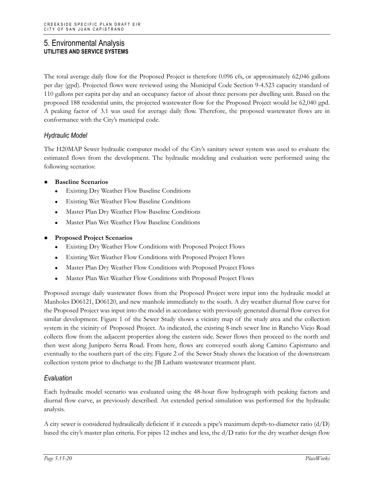The total average daily flow for the Proposed Project is therefore 0.096 cfs, or approximately 62,046 gallons per day (gpd). Projected flows were reviewed using the Municipal Code Section 9-4.523 capacity standard of 110 gallons per capita per day and an occupancy factor of about three persons per dwelling unit. Based on the proposed 188 residential units, the projected wastewater flow for the Proposed Project would be 62,040 gpd. A peaking factor of 3.1 was used for average daily flow. Therefore, the proposed wastewater flows are in conformance with the City's municipal code.

## *Hydraulic Model*

The H20MAP Sewer hydraulic computer model of the City's sanitary sewer system was used to evaluate the estimated flows from the development. The hydraulic modeling and evaluation were performed using the following scenarios:

#### **Baseline Scenarios**

- Existing Dry Weather Flow Baseline Conditions
- Existing Wet Weather Flow Baseline Conditions
- Master Plan Dry Weather Flow Baseline Conditions
- Master Plan Wet Weather Flow Baseline Conditions
- **Proposed Project Scenarios**
	- Existing Dry Weather Flow Conditions with Proposed Project Flows
	- Existing Wet Weather Flow Conditions with Proposed Project Flows
	- Master Plan Dry Weather Flow Conditions with Proposed Project Flows
	- Master Plan Wet Weather Flow Conditions with Proposed Project Flows

Proposed average daily wastewater flows from the Proposed Project were input into the hydraulic model at Manholes D06121, D06120, and new manhole immediately to the south. A dry weather diurnal flow curve for the Proposed Project was input into the model in accordance with previously generated diurnal flow curves for similar development. Figure 1 of the Sewer Study shows a vicinity map of the study area and the collection system in the vicinity of Proposed Project. As indicated, the existing 8-inch sewer line in Rancho Viejo Road collects flow from the adjacent properties along the eastern side. Sewer flows then proceed to the north and then west along Junipero Serra Road. From here, flows are conveyed south along Camino Capistrano and eventually to the southern part of the city. Figure 2 of the Sewer Study shows the location of the downstream collection system prior to discharge to the JB Latham wastewater treatment plant.

#### *Evaluation*

Each hydraulic model scenario was evaluated using the 48-hour flow hydrograph with peaking factors and diurnal flow curve, as previously described. An extended period simulation was performed for the hydraulic analysis.

A city sewer is considered hydraulically deficient if it exceeds a pipe's maximum depth-to-diameter ratio  $(d/D)$ based the city's master plan criteria. For pipes 12 inches and less, the d/D ratio for the dry weather design flow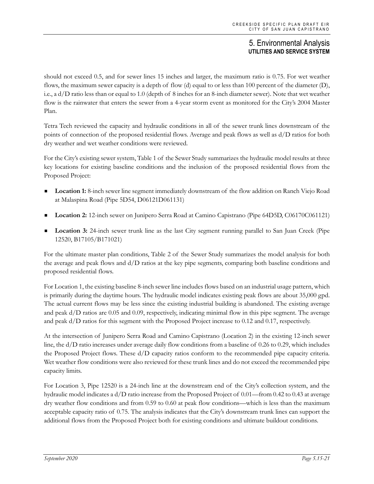should not exceed 0.5, and for sewer lines 15 inches and larger, the maximum ratio is 0.75. For wet weather flows, the maximum sewer capacity is a depth of flow (d) equal to or less than 100 percent of the diameter (D), i.e., a d/D ratio less than or equal to 1.0 (depth of 8 inches for an 8-inch diameter sewer). Note that wet weather flow is the rainwater that enters the sewer from a 4-year storm event as monitored for the City's 2004 Master Plan.

Tetra Tech reviewed the capacity and hydraulic conditions in all of the sewer trunk lines downstream of the points of connection of the proposed residential flows. Average and peak flows as well as d/D ratios for both dry weather and wet weather conditions were reviewed.

For the City's existing sewer system, Table 1 of the Sewer Study summarizes the hydraulic model results at three key locations for existing baseline conditions and the inclusion of the proposed residential flows from the Proposed Project:

- **Location 1:** 8-inch sewer line segment immediately downstream of the flow addition on Ranch Viejo Road at Malaspina Road (Pipe 5D54, D06121D061131)
- **Location 2:** 12-inch sewer on Junipero Serra Road at Camino Capistrano (Pipe 64D5D, C06170C061121)
- **Location 3:** 24-inch sewer trunk line as the last City segment running parallel to San Juan Creek (Pipe 12520, B17105/B171021)

For the ultimate master plan conditions, Table 2 of the Sewer Study summarizes the model analysis for both the average and peak flows and d/D ratios at the key pipe segments, comparing both baseline conditions and proposed residential flows.

For Location 1, the existing baseline 8-inch sewer line includes flows based on an industrial usage pattern, which is primarily during the daytime hours. The hydraulic model indicates existing peak flows are about 35,000 gpd. The actual current flows may be less since the existing industrial building is abandoned. The existing average and peak d/D ratios are 0.05 and 0.09, respectively, indicating minimal flow in this pipe segment. The average and peak d/D ratios for this segment with the Proposed Project increase to 0.12 and 0.17, respectively.

At the intersection of Junipero Serra Road and Camino Capistrano (Location 2) in the existing 12-inch sewer line, the d/D ratio increases under average daily flow conditions from a baseline of 0.26 to 0.29, which includes the Proposed Project flows. These d/D capacity ratios conform to the recommended pipe capacity criteria. Wet weather flow conditions were also reviewed for these trunk lines and do not exceed the recommended pipe capacity limits.

For Location 3, Pipe 12520 is a 24-inch line at the downstream end of the City's collection system, and the hydraulic model indicates a d/D ratio increase from the Proposed Project of 0.01—from 0.42 to 0.43 at average dry weather flow conditions and from 0.59 to 0.60 at peak flow conditions—which is less than the maximum acceptable capacity ratio of 0.75. The analysis indicates that the City's downstream trunk lines can support the additional flows from the Proposed Project both for existing conditions and ultimate buildout conditions.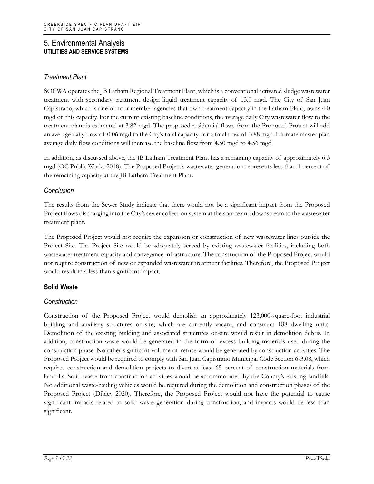## *Treatment Plant*

SOCWA operates the JB Latham Regional Treatment Plant, which is a conventional activated sludge wastewater treatment with secondary treatment design liquid treatment capacity of 13.0 mgd. The City of San Juan Capistrano, which is one of four member agencies that own treatment capacity in the Latham Plant, owns 4.0 mgd of this capacity. For the current existing baseline conditions, the average daily City wastewater flow to the treatment plant is estimated at 3.82 mgd. The proposed residential flows from the Proposed Project will add an average daily flow of 0.06 mgd to the City's total capacity, for a total flow of 3.88 mgd. Ultimate master plan average daily flow conditions will increase the baseline flow from 4.50 mgd to 4.56 mgd.

In addition, as discussed above, the JB Latham Treatment Plant has a remaining capacity of approximately 6.3 mgd (OC Public Works 2018). The Proposed Project's wastewater generation represents less than 1 percent of the remaining capacity at the JB Latham Treatment Plant.

## *Conclusion*

The results from the Sewer Study indicate that there would not be a significant impact from the Proposed Project flows discharging into the City's sewer collection system at the source and downstream to the wastewater treatment plant.

The Proposed Project would not require the expansion or construction of new wastewater lines outside the Project Site. The Project Site would be adequately served by existing wastewater facilities, including both wastewater treatment capacity and conveyance infrastructure. The construction of the Proposed Project would not require construction of new or expanded wastewater treatment facilities. Therefore, the Proposed Project would result in a less than significant impact.

## **Solid Waste**

## *Construction*

Construction of the Proposed Project would demolish an approximately 123,000-square-foot industrial building and auxiliary structures on-site, which are currently vacant, and construct 188 dwelling units. Demolition of the existing building and associated structures on-site would result in demolition debris. In addition, construction waste would be generated in the form of excess building materials used during the construction phase. No other significant volume of refuse would be generated by construction activities. The Proposed Project would be required to comply with San Juan Capistrano Municipal Code Section 6-3.08, which requires construction and demolition projects to divert at least 65 percent of construction materials from landfills. Solid waste from construction activities would be accommodated by the County's existing landfills. No additional waste-hauling vehicles would be required during the demolition and construction phases of the Proposed Project (Dibley 2020). Therefore, the Proposed Project would not have the potential to cause significant impacts related to solid waste generation during construction, and impacts would be less than significant.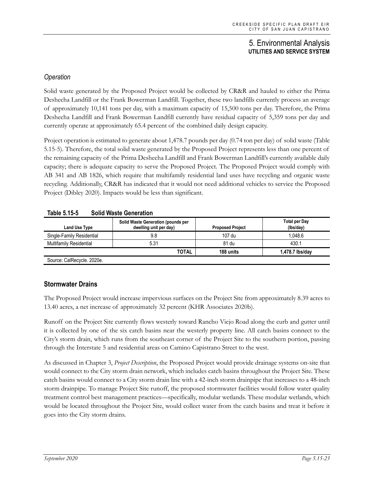## *Operation*

Solid waste generated by the Proposed Project would be collected by CR&R and hauled to either the Prima Deshecha Landfill or the Frank Bowerman Landfill. Together, these two landfills currently process an average of approximately 10,141 tons per day, with a maximum capacity of 15,500 tons per day. Therefore, the Prima Deshecha Landfill and Frank Bowerman Landfill currently have residual capacity of 5,359 tons per day and currently operate at approximately 65.4 percent of the combined daily design capacity.

Project operation is estimated to generate about 1,478.7 pounds per day (0.74 ton per day) of solid waste (Table 5.15-5). Therefore, the total solid waste generated by the Proposed Project represents less than one percent of the remaining capacity of the Prima Deshecha Landfill and Frank Bowerman Landfill's currently available daily capacity; there is adequate capacity to serve the Proposed Project. The Proposed Project would comply with AB 341 and AB 1826, which require that multifamily residential land uses have recycling and organic waste recycling. Additionally, CR&R has indicated that it would not need additional vehicles to service the Proposed Project (Dibley 2020). Impacts would be less than significant.

| Land Use Type                  | Solid Waste Generation (pounds per<br>dwelling unit per day) | <b>Proposed Project</b> | <b>Total per Day</b><br>(lbs/day) |
|--------------------------------|--------------------------------------------------------------|-------------------------|-----------------------------------|
| Single-Family Residential      | 9.8                                                          | 107 du                  | 1.048.6                           |
| <b>Multifamily Residential</b> | 5.31                                                         | 81 du                   | 430.1                             |
|                                | TOTAL                                                        | 188 units               | 1,478.7 lbs/day                   |

#### **Table 5.15-5 Solid Waste Generation**

## **Stormwater Drains**

The Proposed Project would increase impervious surfaces on the Project Site from approximately 8.39 acres to 13.40 acres, a net increase of approximately 32 percent (KHR Associates 2020b).

Runoff on the Project Site currently flows westerly toward Rancho Viejo Road along the curb and gutter until it is collected by one of the six catch basins near the westerly property line. All catch basins connect to the City's storm drain, which runs from the southeast corner of the Project Site to the southern portion, passing through the Interstate 5 and residential areas on Camino Capistrano Street to the west.

As discussed in Chapter 3, *Project Description*, the Proposed Project would provide drainage systems on-site that would connect to the City storm drain network, which includes catch basins throughout the Project Site. These catch basins would connect to a City storm drain line with a 42-inch storm drainpipe that increases to a 48-inch storm drainpipe. To manage Project Site runoff, the proposed stormwater facilities would follow water quality treatment control best management practices—specifically, modular wetlands. These modular wetlands, which would be located throughout the Project Site, would collect water from the catch basins and treat it before it goes into the City storm drains.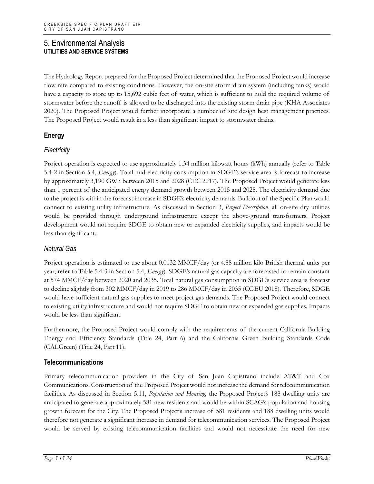The Hydrology Report prepared for the Proposed Project determined that the Proposed Project would increase flow rate compared to existing conditions. However, the on-site storm drain system (including tanks) would have a capacity to store up to 15,692 cubic feet of water, which is sufficient to hold the required volume of stormwater before the runoff is allowed to be discharged into the existing storm drain pipe (KHA Associates 2020). The Proposed Project would further incorporate a number of site design best management practices. The Proposed Project would result in a less than significant impact to stormwater drains.

## **Energy**

## *Electricity*

Project operation is expected to use approximately 1.34 million kilowatt hours (kWh) annually (refer to Table 5.4-2 in Section 5.4, *Energy*). Total mid-electricity consumption in SDGE's service area is forecast to increase by approximately 3,190 GWh between 2015 and 2028 (CEC 2017). The Proposed Project would generate less than 1 percent of the anticipated energy demand growth between 2015 and 2028. The electricity demand due to the project is within the forecast increase in SDGE's electricity demands. Buildout of the Specific Plan would connect to existing utility infrastructure. As discussed in Section 3, *Project Description*, all on-site dry utilities would be provided through underground infrastructure except the above-ground transformers. Project development would not require SDGE to obtain new or expanded electricity supplies, and impacts would be less than significant.

## *Natural Gas*

Project operation is estimated to use about 0.0132 MMCF/day (or 4.88 million kilo British thermal units per year; refer to Table 5.4-3 in Section 5.4, *Energy*). SDGE's natural gas capacity are forecasted to remain constant at 574 MMCF/day between 2020 and 2035. Total natural gas consumption in SDGE's service area is forecast to decline slightly from 302 MMCF/day in 2019 to 286 MMCF/day in 2035 (CGEU 2018). Therefore, SDGE would have sufficient natural gas supplies to meet project gas demands. The Proposed Project would connect to existing utility infrastructure and would not require SDGE to obtain new or expanded gas supplies. Impacts would be less than significant.

Furthermore, the Proposed Project would comply with the requirements of the current California Building Energy and Efficiency Standards (Title 24, Part 6) and the California Green Building Standards Code (CALGreen) (Title 24, Part 11).

## **Telecommunications**

Primary telecommunication providers in the City of San Juan Capistrano include AT&T and Cox Communications. Construction of the Proposed Project would not increase the demand for telecommunication facilities. As discussed in Section 5.11, *Population and Housing*, the Proposed Project's 188 dwelling units are anticipated to generate approximately 581 new residents and would be within SCAG's population and housing growth forecast for the City. The Proposed Project's increase of 581 residents and 188 dwelling units would therefore not generate a significant increase in demand for telecommunication services. The Proposed Project would be served by existing telecommunication facilities and would not necessitate the need for new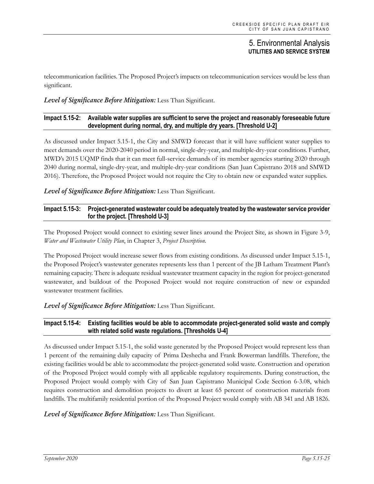telecommunication facilities. The Proposed Project's impacts on telecommunication services would be less than significant.

#### *Level of Significance Before Mitigation:* Less Than Significant.

#### **Impact 5.15-2: Available water supplies are sufficient to serve the project and reasonably foreseeable future development during normal, dry, and multiple dry years. [Threshold U-2]**

As discussed under Impact 5.15-1, the City and SMWD forecast that it will have sufficient water supplies to meet demands over the 2020-2040 period in normal, single-dry-year, and multiple-dry-year conditions. Further, MWD's 2015 UQMP finds that it can meet full-service demands of its member agencies starting 2020 through 2040 during normal, single-dry-year, and multiple-dry-year conditions (San Juan Capistrano 2018 and SMWD 2016). Therefore, the Proposed Project would not require the City to obtain new or expanded water supplies.

*Level of Significance Before Mitigation:* Less Than Significant.

#### **Impact 5.15-3: Project-generated wastewater could be adequately treated by the wastewater service provider for the project. [Threshold U-3]**

The Proposed Project would connect to existing sewer lines around the Project Site, as shown in Figure 3-9, *Water and Wastewater Utility Plan*, in Chapter 3, *Project Description*.

The Proposed Project would increase sewer flows from existing conditions. As discussed under Impact 5.15-1, the Proposed Project's wastewater generates represents less than 1 percent of the JB Latham Treatment Plant's remaining capacity. There is adequate residual wastewater treatment capacity in the region for project-generated wastewater, and buildout of the Proposed Project would not require construction of new or expanded wastewater treatment facilities.

*Level of Significance Before Mitigation:* Less Than Significant.

#### **Impact 5.15-4: Existing facilities would be able to accommodate project-generated solid waste and comply with related solid waste regulations. [Thresholds U-4]**

As discussed under Impact 5.15-1, the solid waste generated by the Proposed Project would represent less than 1 percent of the remaining daily capacity of Prima Deshecha and Frank Bowerman landfills. Therefore, the existing facilities would be able to accommodate the project-generated solid waste. Construction and operation of the Proposed Project would comply with all applicable regulatory requirements. During construction, the Proposed Project would comply with City of San Juan Capistrano Municipal Code Section 6-3.08, which requires construction and demolition projects to divert at least 65 percent of construction materials from landfills. The multifamily residential portion of the Proposed Project would comply with AB 341 and AB 1826.

#### *Level of Significance Before Mitigation:* Less Than Significant.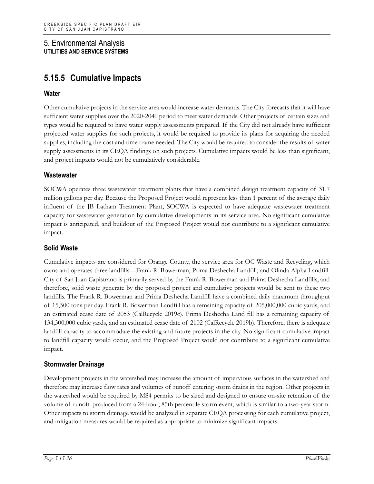# **5.15.5 Cumulative Impacts**

## **Water**

Other cumulative projects in the service area would increase water demands. The City forecasts that it will have sufficient water supplies over the 2020-2040 period to meet water demands. Other projects of certain sizes and types would be required to have water supply assessments prepared. If the City did not already have sufficient projected water supplies for such projects, it would be required to provide its plans for acquiring the needed supplies, including the cost and time frame needed. The City would be required to consider the results of water supply assessments in its CEQA findings on such projects. Cumulative impacts would be less than significant, and project impacts would not be cumulatively considerable.

## **Wastewater**

SOCWA operates three wastewater treatment plants that have a combined design treatment capacity of 31.7 million gallons per day. Because the Proposed Project would represent less than 1 percent of the average daily influent of the JB Latham Treatment Plant, SOCWA is expected to have adequate wastewater treatment capacity for wastewater generation by cumulative developments in its service area. No significant cumulative impact is anticipated, and buildout of the Proposed Project would not contribute to a significant cumulative impact.

## **Solid Waste**

Cumulative impacts are considered for Orange County, the service area for OC Waste and Recycling, which owns and operates three landfills—Frank R. Bowerman, Prima Deshecha Landfill, and Olinda Alpha Landfill. City of San Juan Capistrano is primarily served by the Frank R. Bowerman and Prima Deshecha Landfills, and therefore, solid waste generate by the proposed project and cumulative projects would be sent to these two landfills. The Frank R. Bowerman and Prima Deshecha Landfill have a combined daily maximum throughput of 15,500 tons per day. Frank R. Bowerman Landfill has a remaining capacity of 205,000,000 cubic yards, and an estimated cease date of 2053 (CalRecycle 2019c). Prima Deshecha Land fill has a remaining capacity of 134,300,000 cubic yards, and an estimated cease date of 2102 (CalRecycle 2019b). Therefore, there is adequate landfill capacity to accommodate the existing and future projects in the city. No significant cumulative impact to landfill capacity would occur, and the Proposed Project would not contribute to a significant cumulative impact.

## **Stormwater Drainage**

Development projects in the watershed may increase the amount of impervious surfaces in the watershed and therefore may increase flow rates and volumes of runoff entering storm drains in the region. Other projects in the watershed would be required by MS4 permits to be sized and designed to ensure on-site retention of the volume of runoff produced from a 24-hour, 85th percentile storm event, which is similar to a two-year storm. Other impacts to storm drainage would be analyzed in separate CEQA processing for each cumulative project, and mitigation measures would be required as appropriate to minimize significant impacts.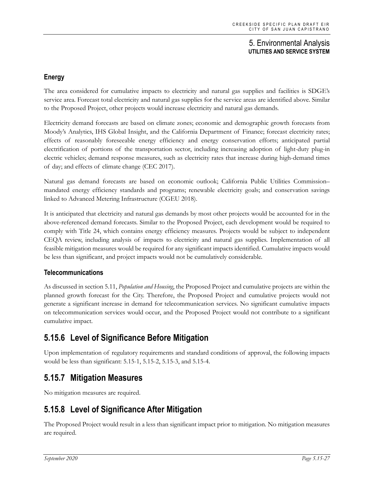## **Energy**

The area considered for cumulative impacts to electricity and natural gas supplies and facilities is SDGE's service area. Forecast total electricity and natural gas supplies for the service areas are identified above. Similar to the Proposed Project, other projects would increase electricity and natural gas demands.

Electricity demand forecasts are based on climate zones; economic and demographic growth forecasts from Moody's Analytics, IHS Global Insight, and the California Department of Finance; forecast electricity rates; effects of reasonably foreseeable energy efficiency and energy conservation efforts; anticipated partial electrification of portions of the transportation sector, including increasing adoption of light-duty plug-in electric vehicles; demand response measures, such as electricity rates that increase during high-demand times of day; and effects of climate change (CEC 2017).

Natural gas demand forecasts are based on economic outlook; California Public Utilities Commission– mandated energy efficiency standards and programs; renewable electricity goals; and conservation savings linked to Advanced Metering Infrastructure (CGEU 2018).

It is anticipated that electricity and natural gas demands by most other projects would be accounted for in the above-referenced demand forecasts. Similar to the Proposed Project, each development would be required to comply with Title 24, which contains energy efficiency measures. Projects would be subject to independent CEQA review, including analysis of impacts to electricity and natural gas supplies. Implementation of all feasible mitigation measures would be required for any significant impacts identified. Cumulative impacts would be less than significant, and project impacts would not be cumulatively considerable.

## **Telecommunications**

As discussed in section 5.11, *Population and Housing*, the Proposed Project and cumulative projects are within the planned growth forecast for the City. Therefore, the Proposed Project and cumulative projects would not generate a significant increase in demand for telecommunication services. No significant cumulative impacts on telecommunication services would occur, and the Proposed Project would not contribute to a significant cumulative impact.

# **5.15.6 Level of Significance Before Mitigation**

Upon implementation of regulatory requirements and standard conditions of approval, the following impacts would be less than significant: 5.15-1, 5.15-2, 5.15-3, and 5.15-4.

# **5.15.7 Mitigation Measures**

No mitigation measures are required.

# **5.15.8 Level of Significance After Mitigation**

The Proposed Project would result in a less than significant impact prior to mitigation. No mitigation measures are required.